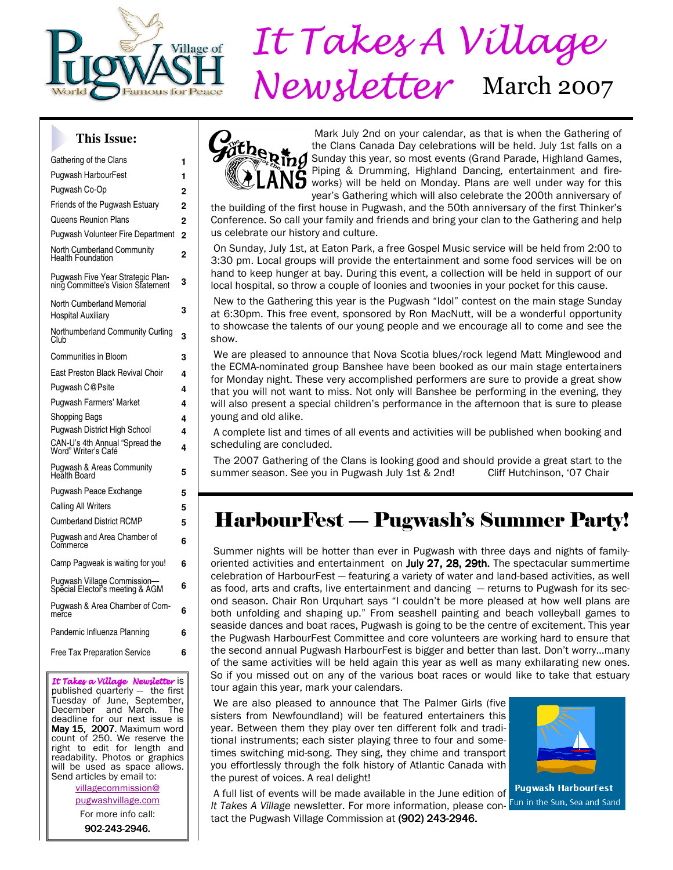

# $P_{\text{new}}$  *It Takes A Village* Newsletter March 2007

#### **This Issue:**

| Gathering of the Clans                                                 | 1              |
|------------------------------------------------------------------------|----------------|
| <b>Pugwash HarbourFest</b>                                             | 1              |
| Pugwash Co-Op                                                          | $\overline{2}$ |
| Friends of the Pugwash Estuary                                         | 2              |
| <b>Queens Reunion Plans</b>                                            | $\overline{2}$ |
| Pugwash Volunteer Fire Department                                      | $\overline{2}$ |
| North Cumberland Community<br><b>Health Foundation</b>                 | $\overline{2}$ |
| Pugwash Five Year Strategic Plan-<br>ning Committee's Vision Statement | 3              |
| North Cumberland Memorial<br><b>Hospital Auxiliary</b>                 | 3              |
| Northumberland Community Curling<br>Club                               | 3              |
| <b>Communities in Bloom</b>                                            | 3              |
| East Preston Black Revival Choir                                       | 4              |
| Pugwash C@Psite                                                        | 4              |
| <b>Pugwash Farmers' Market</b>                                         | 4              |
| <b>Shopping Bags</b>                                                   | 4              |
| <b>Pugwash District High School</b>                                    | 4              |
| CAN-U's 4th Annual "Spread the<br>Word" Writer's Café                  | 4              |
| <b>Pugwash &amp; Areas Community</b><br>Health Board                   | 5              |
| Pugwash Peace Exchange                                                 | 5              |
| <b>Calling All Writers</b>                                             | 5              |
| <b>Cumberland District RCMP</b>                                        | 5              |
| Pugwash and Area Chamber of<br>Commerce                                | 6              |
| Camp Pagweak is waiting for you!                                       | 6              |
| Pugwash Village Commission-<br>Special Elector's meeting & AGM         | 6              |
| Pugwash & Area Chamber of Com-<br>merce                                | 6              |
| Pandemic Influenza Planning                                            | 6              |
| <b>Free Tax Preparation Service</b>                                    | 6              |
|                                                                        |                |

It Takes a Village Newsletter is published quarterly — the first Tuesday of June, September, December and March. The deadline for our next issue is May 15, 2007. Maximum word count of 250. We reserve the right to edit for length and readability. Photos or graphics will be used as space allows. Send articles by email to:

> villagecommission@ pugwashvillage.com

For more info call:

902-243-2946.



 Mark July 2nd on your calendar, as that is when the Gathering of the Clans Canada Day celebrations will be held. July 1st falls on a Sunday this year, so most events (Grand Parade, Highland Games, Piping & Drumming, Highland Dancing, entertainment and fire-**S** works) will be held on Monday. Plans are well under way for this year's Gathering which will also celebrate the 200th anniversary of

the building of the first house in Pugwash, and the 50th anniversary of the first Thinker's Conference. So call your family and friends and bring your clan to the Gathering and help us celebrate our history and culture.

 On Sunday, July 1st, at Eaton Park, a free Gospel Music service will be held from 2:00 to 3:30 pm. Local groups will provide the entertainment and some food services will be on hand to keep hunger at bay. During this event, a collection will be held in support of our local hospital, so throw a couple of loonies and twoonies in your pocket for this cause.

 New to the Gathering this year is the Pugwash "Idol" contest on the main stage Sunday at 6:30pm. This free event, sponsored by Ron MacNutt, will be a wonderful opportunity to showcase the talents of our young people and we encourage all to come and see the show.

 We are pleased to announce that Nova Scotia blues/rock legend Matt Minglewood and the ECMA-nominated group Banshee have been booked as our main stage entertainers for Monday night. These very accomplished performers are sure to provide a great show that you will not want to miss. Not only will Banshee be performing in the evening, they will also present a special children's performance in the afternoon that is sure to please young and old alike.

 A complete list and times of all events and activities will be published when booking and scheduling are concluded.

 The 2007 Gathering of the Clans is looking good and should provide a great start to the summer season. See you in Pugwash July 1st & 2nd! Cliff Hutchinson, '07 Chair

# HarbourFest — Pugwash's Summer Party!

 Summer nights will be hotter than ever in Pugwash with three days and nights of familyoriented activities and entertainment on July  $27$ ,  $28$ ,  $29$ th. The spectacular summertime celebration of HarbourFest — featuring a variety of water and land-based activities, as well as food, arts and crafts, live entertainment and dancing — returns to Pugwash for its second season. Chair Ron Urquhart says "I couldn't be more pleased at how well plans are both unfolding and shaping up." From seashell painting and beach volleyball games to seaside dances and boat races, Pugwash is going to be the centre of excitement. This year the Pugwash HarbourFest Committee and core volunteers are working hard to ensure that the second annual Pugwash HarbourFest is bigger and better than last. Don't worry…many of the same activities will be held again this year as well as many exhilarating new ones. So if you missed out on any of the various boat races or would like to take that estuary tour again this year, mark your calendars.

 We are also pleased to announce that The Palmer Girls (five sisters from Newfoundland) will be featured entertainers this year. Between them they play over ten different folk and traditional instruments; each sister playing three to four and sometimes switching mid-song. They sing, they chime and transport you effortlessly through the folk history of Atlantic Canada with the purest of voices. A real delight!



 A full list of events will be made available in the June edition of It Takes A Village newsletter. For more information, please contact the Pugwash Village Commission at (902) 243-2946.

**Pugwash HarbourFest** Fun in the Sun, Sea and Sand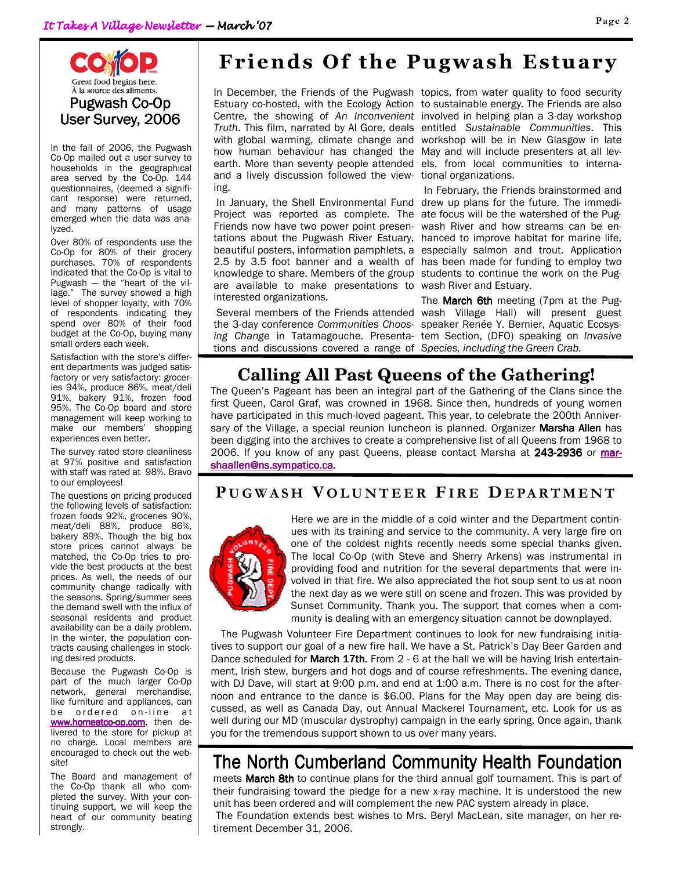

In the fall of 2006, the Pugwash Co-Op mailed out a user survey to households in the geographical area served by the Co-Op. 144 questionnaires, (deemed a significant response) were returned, and many patterns of usage emerged when the data was analyzed.

Over 80% of respondents use the Co-Op for 80% of their grocery purchases. 70% of respondents indicated that the Co-Op is vital to Pugwash — the "heart of the village." The survey showed a high level of shopper loyalty, with 70% of respondents indicating they spend over 80% of their food budget at the Co-Op, buying many small orders each week.

Satisfaction with the store's different departments was judged satisfactory or very satisfactory: groceries 94%, produce 86%, meat/deli 91%, bakery 91%, frozen food 95%. The Co-Op board and store management will keep working to make our members' shopping experiences even better.

The survey rated store cleanliness at 97% positive and satisfaction with staff was rated at 98%. Bravo to our employees!

The questions on pricing produced the following levels of satisfaction: frozen foods 92%, groceries 90%, meat/deli 88%, produce 86%, bakery 89%. Though the big box store prices cannot always be matched, the Co-Op tries to provide the best products at the best prices. As well, the needs of our community change radically with the seasons. Spring/summer sees the demand swell with the influx of seasonal residents and product availability can be a daily problem. In the winter, the population contracts causing challenges in stocking desired products.

Because the Pugwash Co-Op is part of the much larger Co-Op network, general merchandise, like furniture and appliances, can be ordered on-line at www.homeatco-op.com, then delivered to the store for pickup at no charge. Local members are encouraged to check out the website!

The Board and management of the Co-Op thank all who completed the survey. With your continuing support, we will keep the heart of our community beating strongly.

# Friends Of the Pugwash Estuary

how human behaviour has changed the May and will include presenters at all levearth. More than seventy people attended and a lively discussion followed the viewing.

Project was reported as complete. The Friends now have two power point presenare available to make presentations to wash River and Estuary. interested organizations.

tions and discussions covered a range of Species, including the Green Crab.

In December, the Friends of the Pugwash topics, from water quality to food security Estuary co-hosted, with the Ecology Action to sustainable energy. The Friends are also Centre, the showing of An Inconvenient involved in helping plan a 3-day workshop Truth. This film, narrated by Al Gore, deals entitled Sustainable Communities. This with global warming, climate change and workshop will be in New Glasgow in late els, from local communities to international organizations.

 In January, the Shell Environmental Fund drew up plans for the future. The immeditations about the Pugwash River Estuary, hanced to improve habitat for marine life, beautiful posters, information pamphlets, a especially salmon and trout. Application 2.5 by 3.5 foot banner and a wealth of has been made for funding to employ two knowledge to share. Members of the group students to continue the work on the Pug- In February, the Friends brainstormed and ate focus will be the watershed of the Pugwash River and how streams can be en-

Several members of the Friends attended wash Village Hall) will present guest the 3-day conference Communities Choos- speaker Renée Y. Bernier, Aquatic Ecosysing Change in Tatamagouche. Presenta- tem Section, (DFO) speaking on Invasive The **March 6th** meeting (7pm at the Pug-

# **Calling All Past Queens of the Gathering!**

The Queen's Pageant has been an integral part of the Gathering of the Clans since the first Queen, Carol Graf, was crowned in 1968. Since then, hundreds of young women have participated in this much-loved pageant. This year, to celebrate the 200th Anniversary of the Village, a special reunion luncheon is planned. Organizer Marsha Allen has been digging into the archives to create a comprehensive list of all Queens from 1968 to 2006. If you know of any past Queens, please contact Marsha at 243-2936 or marshaallen@ns.sympatico.ca.

### PUGWASH VOLUNTEER FIRE DEPARTMENT



Here we are in the middle of a cold winter and the Department continues with its training and service to the community. A very large fire on one of the coldest nights recently needs some special thanks given. The local Co-Op (with Steve and Sherry Arkens) was instrumental in providing food and nutrition for the several departments that were involved in that fire. We also appreciated the hot soup sent to us at noon the next day as we were still on scene and frozen. This was provided by Sunset Community. Thank you. The support that comes when a community is dealing with an emergency situation cannot be downplayed.

The Pugwash Volunteer Fire Department continues to look for new fundraising initiatives to support our goal of a new fire hall. We have a St. Patrick's Day Beer Garden and Dance scheduled for March 17th. From 2 - 6 at the hall we will be having Irish entertainment, Irish stew, burgers and hot dogs and of course refreshments. The evening dance, with DJ Dave, will start at 9:00 p.m. and end at 1:00 a.m. There is no cost for the afternoon and entrance to the dance is \$6.00. Plans for the May open day are being discussed, as well as Canada Day, out Annual Mackerel Tournament, etc. Look for us as well during our MD (muscular dystrophy) campaign in the early spring. Once again, thank you for the tremendous support shown to us over many years.

# The North Cumberland Community Health Foundation

meets March 8th to continue plans for the third annual golf tournament. This is part of their fundraising toward the pledge for a new x-ray machine. It is understood the new unit has been ordered and will complement the new PAC system already in place. The Foundation extends best wishes to Mrs. Beryl MacLean, site manager, on her retirement December 31, 2006.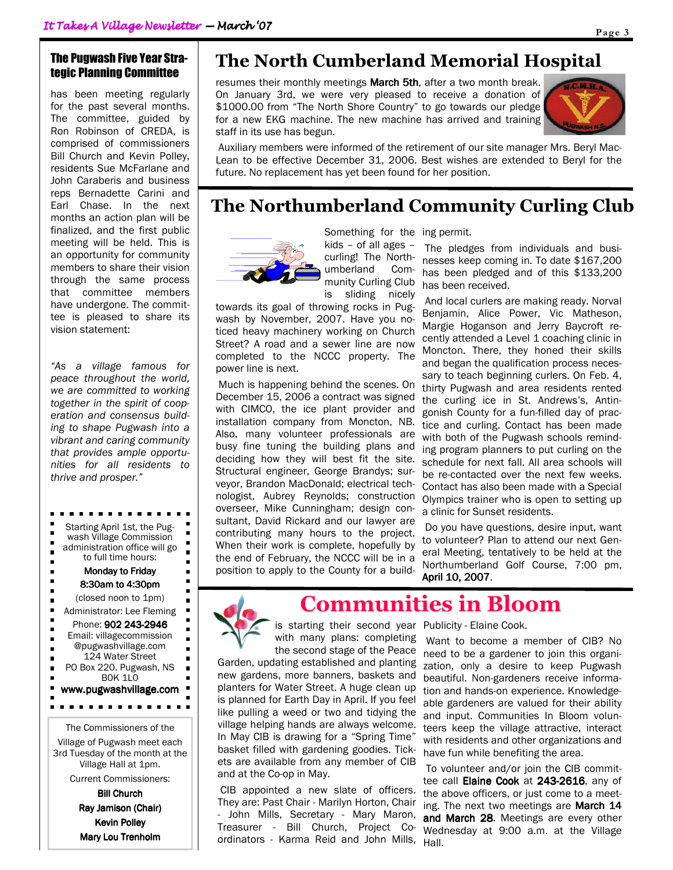#### The Pugwash Five Year Strategic Planning Committee

has been meeting regularly for the past several months. The committee, guided by Ron Robinson of CREDA, is comprised of commissioners Bill Church and Kevin Polley, residents Sue McFarlane and John Caraberis and business reps Bernadette Carini and Earl Chase. In the next months an action plan will be finalized, and the first public meeting will be held. This is an opportunity for community members to share their vision through the same process that committee members have undergone. The committee is pleased to share its vision statement:

"As a village famous for peace throughout the world, we are committed to working together in the spirit of cooperation and consensus building to shape Pugwash into a vibrant and caring community that provides ample opportunities for all residents to thrive and prosper."

Starting April 1st, the Pugп  $\blacksquare$ wash Village Commission Ė  $\blacksquare$ administration office will go  $\blacksquare$ п to full time hours: п  $\blacksquare$ Monday to Friday п 8:30am to 4:30pm Н  $\blacksquare$ (closed noon to 1pm) ř.  $\blacksquare$ Administrator: Lee Fleming  $\blacksquare$  $\blacksquare$ Phone: 902 243-2946 Email: villagecommission ř.  $\blacksquare$ @pugwashvillage.com ×  $\blacksquare$ 124 Water Street PO Box 220. Pugwash, NS п B0K 1L0 ٠ www.pugwashvillage.com . . . . . .

The Commissioners of the

Village of Pugwash meet each 3rd Tuesday of the month at the Village Hall at 1pm.

Current Commissioners:

Bill Church Ray Jamison (Chair) Kevin Polley Mary Lou Trenholm

# The North Cumberland Memorial Hospital

resumes their monthly meetings March 5th, after a two month break. On January 3rd, we were very pleased to receive a donation of \$1000.00 from "The North Shore Country" to go towards our pledge for a new EKG machine. The new machine has arrived and training staff in its use has begun.



 Auxiliary members were informed of the retirement of our site manager Mrs. Beryl Mac-Lean to be effective December 31, 2006. Best wishes are extended to Beryl for the future. No replacement has yet been found for her position.

# The Northumberland Community Curling Club



Something for the ing permit. kids – of all ages – curling! The Northumberland Community Curling Club

is sliding nicely towards its goal of throwing rocks in Pugwash by November, 2007. Have you noticed heavy machinery working on Church Street? A road and a sewer line are now completed to the NCCC property. The power line is next.

 Much is happening behind the scenes. On December 15, 2006 a contract was signed with CIMCO, the ice plant provider and installation company from Moncton, NB. Also, many volunteer professionals are busy fine tuning the building plans and deciding how they will best fit the site. Structural engineer, George Brandys; surveyor, Brandon MacDonald; electrical technologist, Aubrey Reynolds; construction overseer, Mike Cunningham; design consultant, David Rickard and our lawyer are contributing many hours to the project. When their work is complete, hopefully by the end of February, the NCCC will be in a position to apply to the County for a build-

 The pledges from individuals and businesses keep coming in. To date \$167,200 has been pledged and of this \$133,200 has been received.

 And local curlers are making ready. Norval Benjamin, Alice Power, Vic Matheson, Margie Hoganson and Jerry Baycroft recently attended a Level 1 coaching clinic in Moncton. There, they honed their skills and began the qualification process necessary to teach beginning curlers. On Feb. 4, thirty Pugwash and area residents rented the curling ice in St. Andrews's, Antingonish County for a fun-filled day of practice and curling. Contact has been made with both of the Pugwash schools reminding program planners to put curling on the schedule for next fall. All area schools will be re-contacted over the next few weeks. Contact has also been made with a Special Olympics trainer who is open to setting up a clinic for Sunset residents.

 Do you have questions, desire input, want to volunteer? Plan to attend our next General Meeting, tentatively to be held at the Northumberland Golf Course, 7:00 pm, April 10, 2007.



# Communities in Bloom

is starting their second year Publicity - Elaine Cook. with many plans: completing

the second stage of the Peace Garden, updating established and planting new gardens, more banners, baskets and planters for Water Street. A huge clean up is planned for Earth Day in April. If you feel like pulling a weed or two and tidying the village helping hands are always welcome. In May CIB is drawing for a "Spring Time" basket filled with gardening goodies. Tickets are available from any member of CIB and at the Co-op in May.

 CIB appointed a new slate of officers. They are: Past Chair - Marilyn Horton, Chair - John Mills, Secretary - Mary Maron, Treasurer - Bill Church, Project Coordinators - Karma Reid and John Mills,

 Want to become a member of CIB? No need to be a gardener to join this organization, only a desire to keep Pugwash beautiful. Non-gardeners receive information and hands-on experience. Knowledgeable gardeners are valued for their ability and input. Communities In Bloom volunteers keep the village attractive, interact with residents and other organizations and have fun while benefiting the area.

 To volunteer and/or join the CIB committee call Elaine Cook at 243-2616, any of the above officers, or just come to a meeting. The next two meetings are **March 14** and March 28. Meetings are every other Wednesday at 9:00 a.m. at the Village Hall.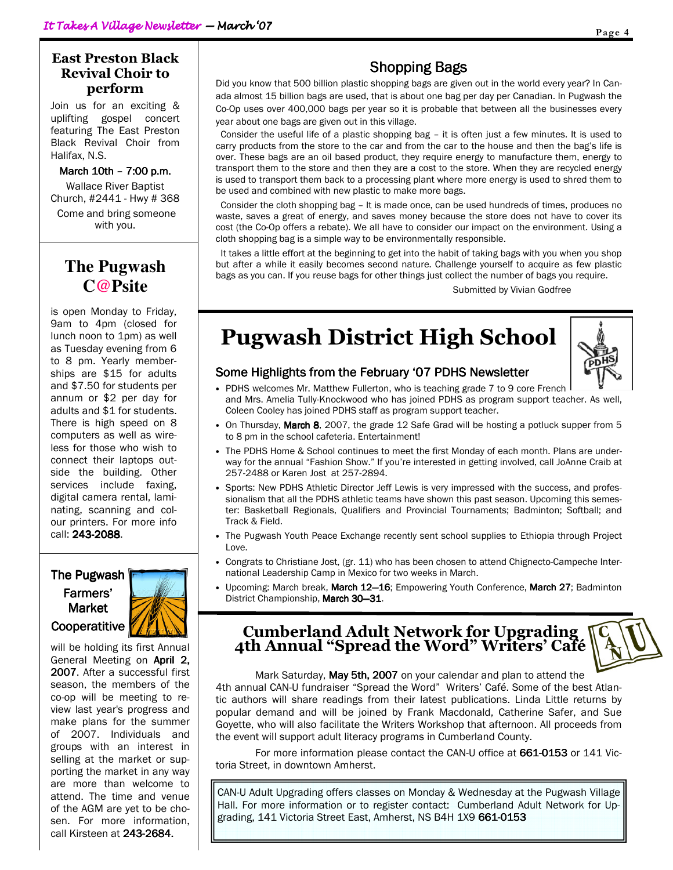#### East Preston Black Revival Choir to perform

Join us for an exciting & uplifting gospel concert featuring The East Preston Black Revival Choir from Halifax, N.S.

March 10th - 7:00 p.m.

Wallace River Baptist Church, #2441 - Hwy # 368

 Come and bring someone with you.

## **The Pugwash C@Psite**

is open Monday to Friday, 9am to 4pm (closed for lunch noon to 1pm) as well as Tuesday evening from 6 to 8 pm. Yearly memberships are \$15 for adults and \$7.50 for students per annum or \$2 per day for adults and \$1 for students. There is high speed on 8 computers as well as wireless for those who wish to connect their laptops outside the building. Other services include faxing, digital camera rental, laminating, scanning and colour printers. For more info call: 243-2088.

#### The Pugwash Farmers' Market **Cooperatitive**



will be holding its first Annual General Meeting on **April 2.** 2007. After a successful first season, the members of the co-op will be meeting to review last year's progress and make plans for the summer of 2007. Individuals and groups with an interest in selling at the market or supporting the market in any way are more than welcome to attend. The time and venue of the AGM are yet to be chosen. For more information, call Kirsteen at 243-2684.

### Shopping Bags

Did you know that 500 billion plastic shopping bags are given out in the world every year? In Canada almost 15 billion bags are used, that is about one bag per day per Canadian. In Pugwash the Co-Op uses over 400,000 bags per year so it is probable that between all the businesses every year about one bags are given out in this village.

 Consider the useful life of a plastic shopping bag – it is often just a few minutes. It is used to carry products from the store to the car and from the car to the house and then the bag's life is over. These bags are an oil based product, they require energy to manufacture them, energy to transport them to the store and then they are a cost to the store. When they are recycled energy is used to transport them back to a processing plant where more energy is used to shred them to be used and combined with new plastic to make more bags.

 Consider the cloth shopping bag – It is made once, can be used hundreds of times, produces no waste, saves a great of energy, and saves money because the store does not have to cover its cost (the Co-Op offers a rebate). We all have to consider our impact on the environment. Using a cloth shopping bag is a simple way to be environmentally responsible.

 It takes a little effort at the beginning to get into the habit of taking bags with you when you shop but after a while it easily becomes second nature. Challenge yourself to acquire as few plastic bags as you can. If you reuse bags for other things just collect the number of bags you require.

Submitted by Vivian Godfree

# Pugwash District High School

Some Highlights from the February '07 PDHS Newsletter



- PDHS welcomes Mr. Matthew Fullerton, who is teaching grade 7 to 9 core French and Mrs. Amelia Tully-Knockwood who has joined PDHS as program support teacher. As well, Coleen Cooley has joined PDHS staff as program support teacher.
- On Thursday, March 8, 2007, the grade 12 Safe Grad will be hosting a potluck supper from 5 to 8 pm in the school cafeteria. Entertainment!
- The PDHS Home & School continues to meet the first Monday of each month. Plans are underway for the annual "Fashion Show." If you're interested in getting involved, call JoAnne Craib at 257-2488 or Karen Jost at 257-2894.
- Sports: New PDHS Athletic Director Jeff Lewis is very impressed with the success, and professionalism that all the PDHS athletic teams have shown this past season. Upcoming this semester: Basketball Regionals, Qualifiers and Provincial Tournaments; Badminton; Softball; and Track & Field.
- The Pugwash Youth Peace Exchange recently sent school supplies to Ethiopia through Project Love.
- Congrats to Christiane Jost, (gr. 11) who has been chosen to attend Chignecto-Campeche International Leadership Camp in Mexico for two weeks in March.
- Upcoming: March break, March 12-16; Empowering Youth Conference, March 27; Badminton District Championship, March 30-31.

### Cumberland Adult Network for Upgrading 4th Annual "Spread the Word" Writers' Café

Mark Saturday, May 5th, 2007 on your calendar and plan to attend the 4th annual CAN-U fundraiser "Spread the Word" Writers' Café. Some of the best Atlantic authors will share readings from their latest publications. Linda Little returns by popular demand and will be joined by Frank Macdonald, Catherine Safer, and Sue Goyette, who will also facilitate the Writers Workshop that afternoon. All proceeds from the event will support adult literacy programs in Cumberland County.

For more information please contact the CAN-U office at 661-0153 or 141 Victoria Street, in downtown Amherst.

CAN-U Adult Upgrading offers classes on Monday & Wednesday at the Pugwash Village Hall. For more information or to register contact: Cumberland Adult Network for Upgrading, 141 Victoria Street East, Amherst, NS B4H 1X9 661-0153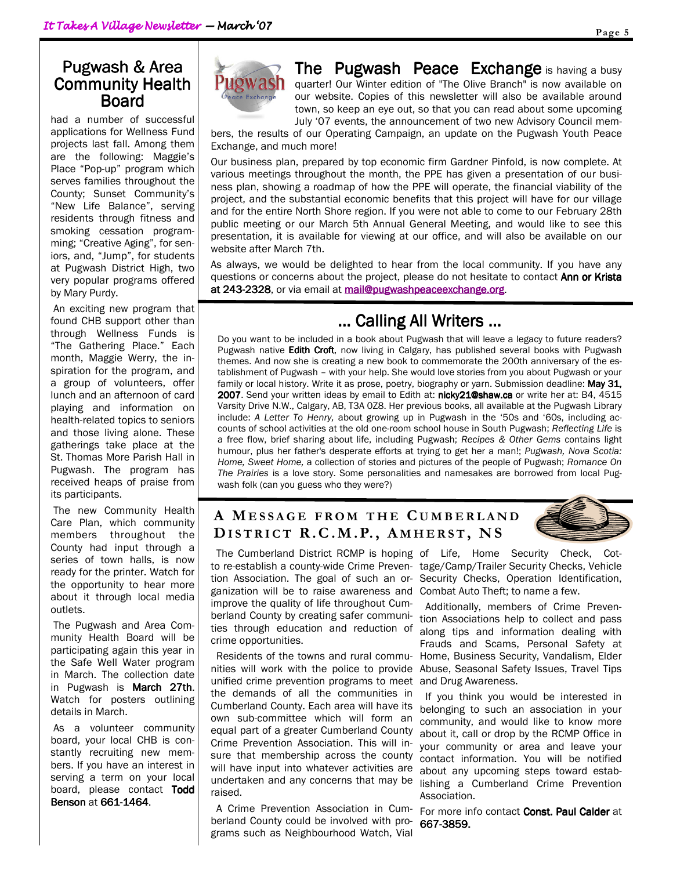#### Pugwash & Area Community Health Board

had a number of successful applications for Wellness Fund projects last fall. Among them are the following: Maggie's Place "Pop-up" program which serves families throughout the County; Sunset Community's "New Life Balance", serving residents through fitness and smoking cessation programming; "Creative Aging", for seniors, and, "Jump", for students at Pugwash District High, two very popular programs offered by Mary Purdy.

 An exciting new program that found CHB support other than through Wellness Funds is "The Gathering Place." Each month, Maggie Werry, the inspiration for the program, and a group of volunteers, offer lunch and an afternoon of card playing and information on health-related topics to seniors and those living alone. These gatherings take place at the St. Thomas More Parish Hall in Pugwash. The program has received heaps of praise from its participants.

 The new Community Health Care Plan, which community members throughout the County had input through a series of town halls, is now ready for the printer. Watch for the opportunity to hear more about it through local media outlets.

 The Pugwash and Area Community Health Board will be participating again this year in the Safe Well Water program in March. The collection date in Pugwash is March 27th. Watch for posters outlining details in March.

 As a volunteer community board, your local CHB is constantly recruiting new members. If you have an interest in serving a term on your local board, please contact Todd Benson at 661-1464.



The Pugwash Peace Exchange is having a busy quarter! Our Winter edition of "The Olive Branch" is now available on our website. Copies of this newsletter will also be available around town, so keep an eye out, so that you can read about some upcoming July '07 events, the announcement of two new Advisory Council mem-

bers, the results of our Operating Campaign, an update on the Pugwash Youth Peace Exchange, and much more!

Our business plan, prepared by top economic firm Gardner Pinfold, is now complete. At various meetings throughout the month, the PPE has given a presentation of our business plan, showing a roadmap of how the PPE will operate, the financial viability of the project, and the substantial economic benefits that this project will have for our village and for the entire North Shore region. If you were not able to come to our February 28th public meeting or our March 5th Annual General Meeting, and would like to see this presentation, it is available for viewing at our office, and will also be available on our website after March 7th.

As always, we would be delighted to hear from the local community. If you have any questions or concerns about the project, please do not hesitate to contact Ann or Krista at 243-2328, or via email at **mail@pugwashpeaceexchange.org**.

### ... Calling All Writers ...

Do you want to be included in a book about Pugwash that will leave a legacy to future readers? Pugwash native Edith Croft, now living in Calgary, has published several books with Pugwash themes. And now she is creating a new book to commemorate the 200th anniversary of the establishment of Pugwash – with your help. She would love stories from you about Pugwash or your family or local history. Write it as prose, poetry, biography or yarn. Submission deadline: May 31, 2007. Send your written ideas by email to Edith at: nicky21@shaw.ca or write her at: B4, 4515 Varsity Drive N.W., Calgary, AB, T3A 0Z8. Her previous books, all available at the Pugwash Library include: A Letter To Henry, about growing up in Pugwash in the '50s and '60s, including accounts of school activities at the old one-room school house in South Pugwash; Reflecting Life is a free flow, brief sharing about life, including Pugwash; Recipes & Other Gems contains light humour, plus her father's desperate efforts at trying to get her a man!; Pugwash, Nova Scotia: Home, Sweet Home, a collection of stories and pictures of the people of Pugwash; Romance On The Prairies is a love story. Some personalities and namesakes are borrowed from local Pugwash folk (can you guess who they were?)

#### A MESSAGE FROM THE CUMBERLAND DISTRICT R.C.M.P., AMHERST, NS



ganization will be to raise awareness and Combat Auto Theft; to name a few. improve the quality of life throughout Cumties through education and reduction of crime opportunities.

 Residents of the towns and rural communities will work with the police to provide unified crime prevention programs to meet the demands of all the communities in Cumberland County. Each area will have its own sub-committee which will form an equal part of a greater Cumberland County Crime Prevention Association. This will insure that membership across the county will have input into whatever activities are undertaken and any concerns that may be raised.

 A Crime Prevention Association in Cumberland County could be involved with programs such as Neighbourhood Watch, Vial

 The Cumberland District RCMP is hoping of Life, Home Security Check, Cotto re-establish a county-wide Crime Preven-tage/Camp/Trailer Security Checks, Vehicle tion Association. The goal of such an or-Security Checks, Operation Identification,

berland County by creating safer communi- tion Associations help to collect and pass Additionally, members of Crime Prevenalong tips and information dealing with Frauds and Scams, Personal Safety at Home, Business Security, Vandalism, Elder Abuse, Seasonal Safety Issues, Travel Tips and Drug Awareness.

> If you think you would be interested in belonging to such an association in your community, and would like to know more about it, call or drop by the RCMP Office in your community or area and leave your contact information. You will be notified about any upcoming steps toward establishing a Cumberland Crime Prevention Association.

For more info contact **Const. Paul Calder** at 667-3859.